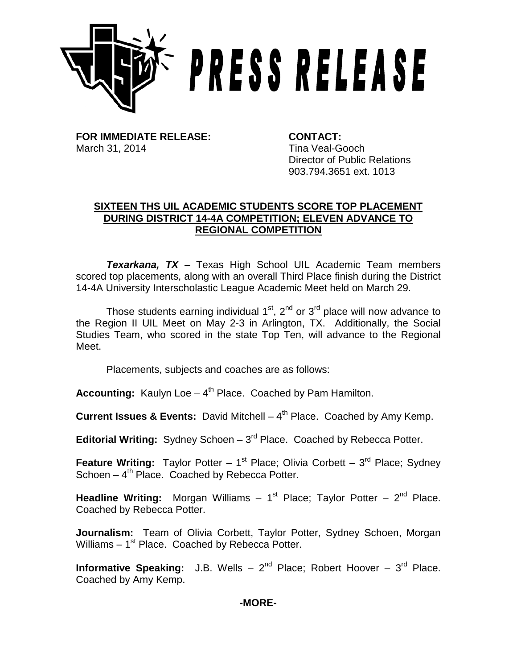

**FOR IMMEDIATE RELEASE: CONTACT:** March 31, 2014 **Tina Veal-Gooch** 

Director of Public Relations 903.794.3651 ext. 1013

## **SIXTEEN THS UIL ACADEMIC STUDENTS SCORE TOP PLACEMENT DURING DISTRICT 14-4A COMPETITION; ELEVEN ADVANCE TO REGIONAL COMPETITION**

*Texarkana, TX* – Texas High School UIL Academic Team members scored top placements, along with an overall Third Place finish during the District 14-4A University Interscholastic League Academic Meet held on March 29.

Those students earning individual  $1<sup>st</sup>$ ,  $2<sup>nd</sup>$  or  $3<sup>rd</sup>$  place will now advance to the Region II UIL Meet on May 2-3 in Arlington, TX. Additionally, the Social Studies Team, who scored in the state Top Ten, will advance to the Regional Meet.

Placements, subjects and coaches are as follows:

Accounting: Kaulyn Loe - 4<sup>th</sup> Place. Coached by Pam Hamilton.

**Current Issues & Events:** David Mitchell  $- 4<sup>th</sup>$  Place. Coached by Amy Kemp.

**Editorial Writing:** Sydney Schoen - 3<sup>rd</sup> Place. Coached by Rebecca Potter.

**Feature Writing:** Taylor Potter –  $1^{st}$  Place; Olivia Corbett –  $3^{rd}$  Place; Sydney Schoen  $-4<sup>th</sup>$  Place. Coached by Rebecca Potter.

**Headline Writing:** Morgan Williams –  $1<sup>st</sup>$  Place; Taylor Potter –  $2<sup>nd</sup>$  Place. Coached by Rebecca Potter.

**Journalism:** Team of Olivia Corbett, Taylor Potter, Sydney Schoen, Morgan Williams  $-1<sup>st</sup>$  Place. Coached by Rebecca Potter.

**Informative Speaking:** J.B. Wells – 2<sup>nd</sup> Place; Robert Hoover – 3<sup>rd</sup> Place. Coached by Amy Kemp.